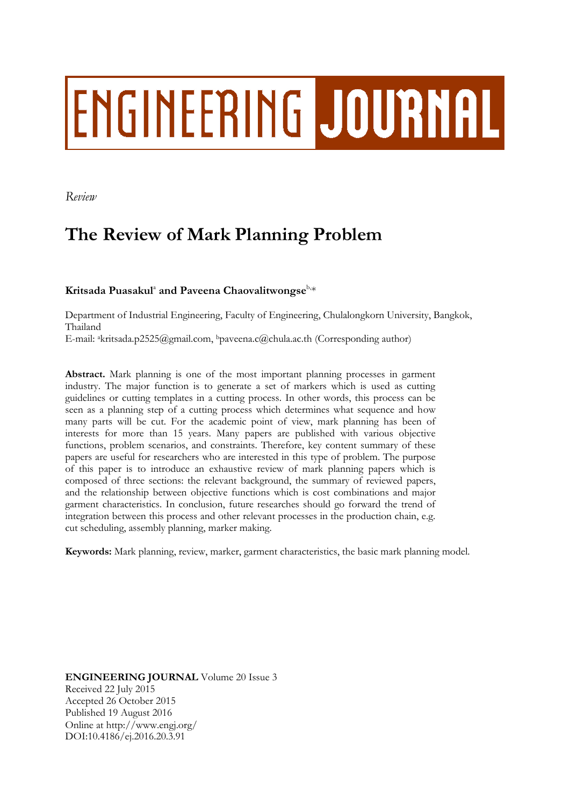# ENGINEERING JOURNAL

*Review*

# **The Review of Mark Planning Problem**

 $\mathbf{K}$ ritsada Puasakul $^{\text{a}}$  and Paveena Chaovalitwongse $^{\text{b},\ast}$ 

Department of Industrial Engineering, Faculty of Engineering, Chulalongkorn University, Bangkok, Thailand

E-mail: akritsada.p2525@gmail.com, <sup>b</sup>paveena.c@chula.ac.th (Corresponding author)

**Abstract.** Mark planning is one of the most important planning processes in garment industry. The major function is to generate a set of markers which is used as cutting guidelines or cutting templates in a cutting process. In other words, this process can be seen as a planning step of a cutting process which determines what sequence and how many parts will be cut. For the academic point of view, mark planning has been of interests for more than 15 years. Many papers are published with various objective functions, problem scenarios, and constraints. Therefore, key content summary of these papers are useful for researchers who are interested in this type of problem. The purpose of this paper is to introduce an exhaustive review of mark planning papers which is composed of three sections: the relevant background, the summary of reviewed papers, and the relationship between objective functions which is cost combinations and major garment characteristics. In conclusion, future researches should go forward the trend of integration between this process and other relevant processes in the production chain, e.g. cut scheduling, assembly planning, marker making.

**Keywords:** Mark planning, review, marker, garment characteristics, the basic mark planning model.

**ENGINEERING JOURNAL** Volume 20 Issue 3 Received 22 July 2015 Accepted 26 October 2015 Published 19 August 2016 Online at http://www.engj.org/ DOI:10.4186/ej.2016.20.3.91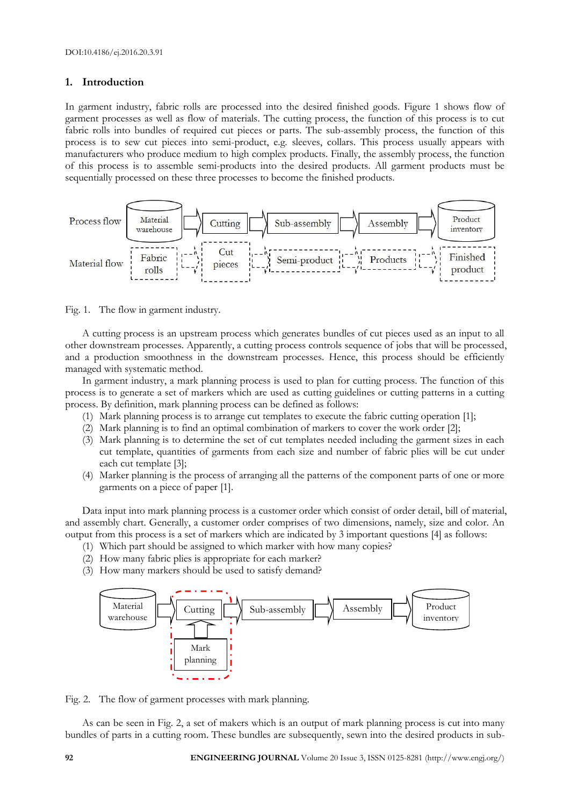# **1. Introduction**

In garment industry, fabric rolls are processed into the desired finished goods. Figure 1 shows flow of garment processes as well as flow of materials. The cutting process, the function of this process is to cut fabric rolls into bundles of required cut pieces or parts. The sub-assembly process, the function of this process is to sew cut pieces into semi-product, e.g. sleeves, collars. This process usually appears with manufacturers who produce medium to high complex products. Finally, the assembly process, the function of this process is to assemble semi-products into the desired products. All garment products must be sequentially processed on these three processes to become the finished products.



Fig. 1. The flow in garment industry.

A cutting process is an upstream process which generates bundles of cut pieces used as an input to all other downstream processes. Apparently, a cutting process controls sequence of jobs that will be processed, and a production smoothness in the downstream processes. Hence, this process should be efficiently managed with systematic method.

In garment industry, a mark planning process is used to plan for cutting process. The function of this process is to generate a set of markers which are used as cutting guidelines or cutting patterns in a cutting process. By definition, mark planning process can be defined as follows:

- (1) Mark planning process is to arrange cut templates to execute the fabric cutting operation [1];
- (2) Mark planning is to find an optimal combination of markers to cover the work order [2];
- (3) Mark planning is to determine the set of cut templates needed including the garment sizes in each cut template, quantities of garments from each size and number of fabric plies will be cut under each cut template [3];
- (4) Marker planning is the process of arranging all the patterns of the component parts of one or more garments on a piece of paper [1].

Data input into mark planning process is a customer order which consist of order detail, bill of material, and assembly chart. Generally, a customer order comprises of two dimensions, namely, size and color. An output from this process is a set of markers which are indicated by 3 important questions [4] as follows:

- (1) Which part should be assigned to which marker with how many copies?
- (2) How many fabric plies is appropriate for each marker?
- (3) How many markers should be used to satisfy demand?



Fig. 2. The flow of garment processes with mark planning.

As can be seen in Fig. 2, a set of makers which is an output of mark planning process is cut into many bundles of parts in a cutting room. These bundles are subsequently, sewn into the desired products in sub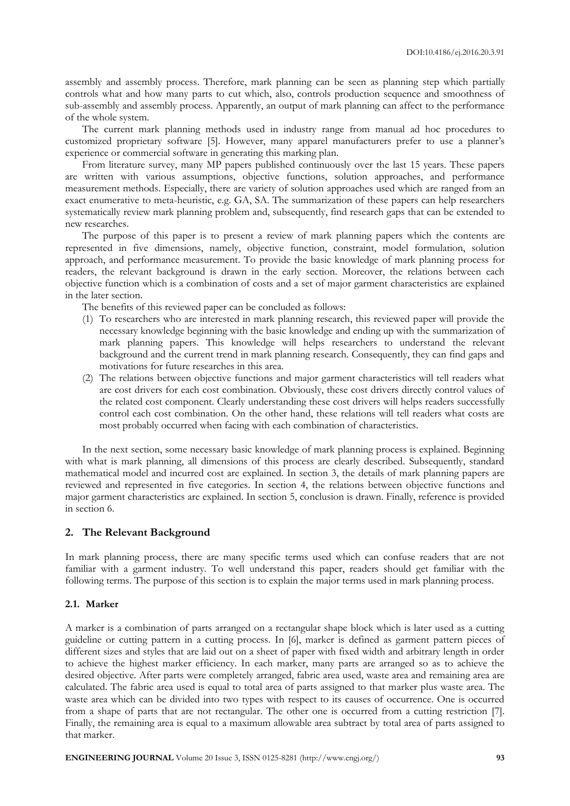assembly and assembly process. Therefore, mark planning can be seen as planning step which partially controls what and how many parts to cut which, also, controls production sequence and smoothness of sub-assembly and assembly process. Apparently, an output of mark planning can affect to the performance of the whole system.

The current mark planning methods used in industry range from manual ad hoc procedures to customized proprietary software [5]. However, many apparel manufacturers prefer to use a planner's experience or commercial software in generating this marking plan.

From literature survey, many MP papers published continuously over the last 15 years. These papers are written with various assumptions, objective functions, solution approaches, and performance measurement methods. Especially, there are variety of solution approaches used which are ranged from an exact enumerative to meta-heuristic, e.g. GA, SA. The summarization of these papers can help researchers systematically review mark planning problem and, subsequently, find research gaps that can be extended to new researches.

The purpose of this paper is to present a review of mark planning papers which the contents are represented in five dimensions, namely, objective function, constraint, model formulation, solution approach, and performance measurement. To provide the basic knowledge of mark planning process for readers, the relevant background is drawn in the early section. Moreover, the relations between each objective function which is a combination of costs and a set of major garment characteristics are explained in the later section.

The benefits of this reviewed paper can be concluded as follows:

- (1) To researchers who are interested in mark planning research, this reviewed paper will provide the necessary knowledge beginning with the basic knowledge and ending up with the summarization of mark planning papers. This knowledge will helps researchers to understand the relevant background and the current trend in mark planning research. Consequently, they can find gaps and motivations for future researches in this area.
- (2) The relations between objective functions and major garment characteristics will tell readers what are cost drivers for each cost combination. Obviously, these cost drivers directly control values of the related cost component. Clearly understanding these cost drivers will helps readers successfully control each cost combination. On the other hand, these relations will tell readers what costs are most probably occurred when facing with each combination of characteristics.

In the next section, some necessary basic knowledge of mark planning process is explained. Beginning with what is mark planning, all dimensions of this process are clearly described. Subsequently, standard mathematical model and incurred cost are explained. In section 3, the details of mark planning papers are reviewed and represented in five categories. In section 4, the relations between objective functions and major garment characteristics are explained. In section 5, conclusion is drawn. Finally, reference is provided in section 6.

#### **2. The Relevant Background**

In mark planning process, there are many specific terms used which can confuse readers that are not familiar with a garment industry. To well understand this paper, readers should get familiar with the following terms. The purpose of this section is to explain the major terms used in mark planning process.

#### **2.1. Marker**

A marker is a combination of parts arranged on a rectangular shape block which is later used as a cutting guideline or cutting pattern in a cutting process. In [6], marker is defined as garment pattern pieces of different sizes and styles that are laid out on a sheet of paper with fixed width and arbitrary length in order to achieve the highest marker efficiency. In each marker, many parts are arranged so as to achieve the desired objective. After parts were completely arranged, fabric area used, waste area and remaining area are calculated. The fabric area used is equal to total area of parts assigned to that marker plus waste area. The waste area which can be divided into two types with respect to its causes of occurrence. One is occurred from a shape of parts that are not rectangular. The other one is occurred from a cutting restriction [7]. Finally, the remaining area is equal to a maximum allowable area subtract by total area of parts assigned to that marker.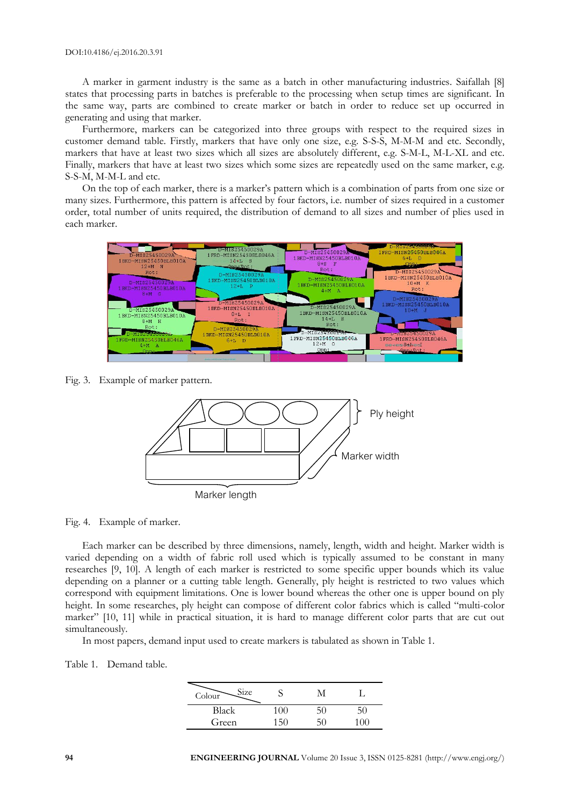A marker in garment industry is the same as a batch in other manufacturing industries. Saifallah [8] states that processing parts in batches is preferable to the processing when setup times are significant. In the same way, parts are combined to create marker or batch in order to reduce set up occurred in generating and using that marker.

Furthermore, markers can be categorized into three groups with respect to the required sizes in customer demand table. Firstly, markers that have only one size, e.g. S-S-S, M-M-M and etc. Secondly, markers that have at least two sizes which all sizes are absolutely different, e.g. S-M-L, M-L-XL and etc. Finally, markers that have at least two sizes which some sizes are repeatedly used on the same marker, e.g. S-S-M, M-M-L and etc.

On the top of each marker, there is a marker's pattern which is a combination of parts from one size or many sizes. Furthermore, this pattern is affected by four factors, i.e. number of sizes required in a customer order, total number of units required, the distribution of demand to all sizes and number of plies used in each marker.



Fig. 3. Example of marker pattern.



Fig. 4. Example of marker.

Each marker can be described by three dimensions, namely, length, width and height. Marker width is varied depending on a width of fabric roll used which is typically assumed to be constant in many researches [9, 10]. A length of each marker is restricted to some specific upper bounds which its value depending on a planner or a cutting table length. Generally, ply height is restricted to two values which correspond with equipment limitations. One is lower bound whereas the other one is upper bound on ply height. In some researches, ply height can compose of different color fabrics which is called "multi-color marker" [10, 11] while in practical situation, it is hard to manage different color parts that are cut out simultaneously.

In most papers, demand input used to create markers is tabulated as shown in Table 1.

Table 1. Demand table.

| Size<br>Colour |     |     |  |
|----------------|-----|-----|--|
| <b>Black</b>   | (1) | 5U. |  |
| Green          |     |     |  |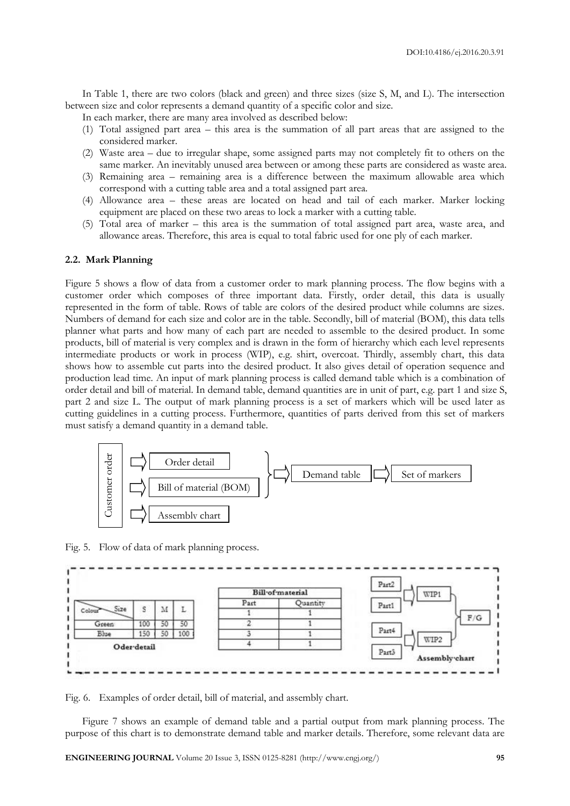In Table 1, there are two colors (black and green) and three sizes (size S, M, and L). The intersection between size and color represents a demand quantity of a specific color and size.

In each marker, there are many area involved as described below:

- (1) Total assigned part area this area is the summation of all part areas that are assigned to the considered marker.
- (2) Waste area due to irregular shape, some assigned parts may not completely fit to others on the same marker. An inevitably unused area between or among these parts are considered as waste area.
- (3) Remaining area remaining area is a difference between the maximum allowable area which correspond with a cutting table area and a total assigned part area.
- (4) Allowance area these areas are located on head and tail of each marker. Marker locking equipment are placed on these two areas to lock a marker with a cutting table.
- (5) Total area of marker this area is the summation of total assigned part area, waste area, and allowance areas. Therefore, this area is equal to total fabric used for one ply of each marker.

#### **2.2. Mark Planning**

Figure 5 shows a flow of data from a customer order to mark planning process. The flow begins with a customer order which composes of three important data. Firstly, order detail, this data is usually represented in the form of table. Rows of table are colors of the desired product while columns are sizes. Numbers of demand for each size and color are in the table. Secondly, bill of material (BOM), this data tells planner what parts and how many of each part are needed to assemble to the desired product. In some products, bill of material is very complex and is drawn in the form of hierarchy which each level represents intermediate products or work in process (WIP), e.g. shirt, overcoat. Thirdly, assembly chart, this data shows how to assemble cut parts into the desired product. It also gives detail of operation sequence and production lead time. An input of mark planning process is called demand table which is a combination of order detail and bill of material. In demand table, demand quantities are in unit of part, e.g. part 1 and size S, part 2 and size L. The output of mark planning process is a set of markers which will be used later as cutting guidelines in a cutting process. Furthermore, quantities of parts derived from this set of markers must satisfy a demand quantity in a demand table.



Fig. 5. Flow of data of mark planning process.



Fig. 6. Examples of order detail, bill of material, and assembly chart.

Figure 7 shows an example of demand table and a partial output from mark planning process. The purpose of this chart is to demonstrate demand table and marker details. Therefore, some relevant data are

**ENGINEERING JOURNAL** Volume 20 Issue 3, ISSN 0125-8281 (http://www.engj.org/) **95**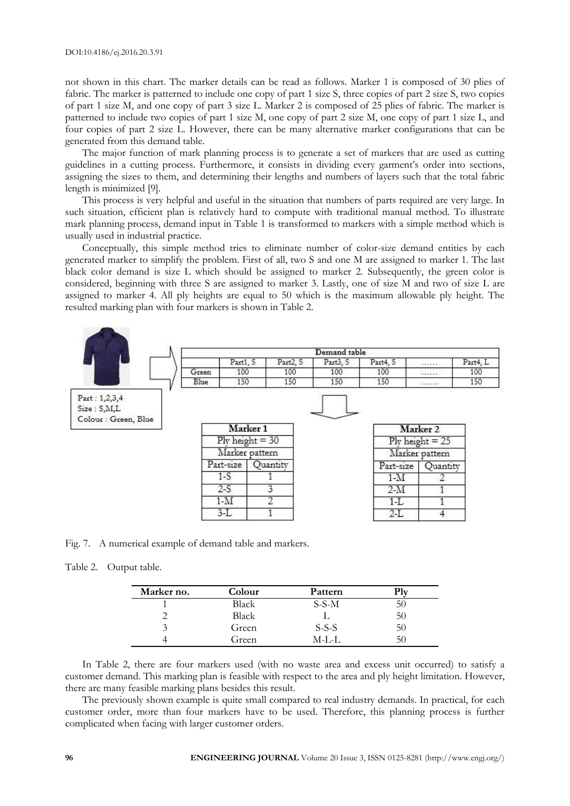not shown in this chart. The marker details can be read as follows. Marker 1 is composed of 30 plies of fabric. The marker is patterned to include one copy of part 1 size S, three copies of part 2 size S, two copies of part 1 size M, and one copy of part 3 size L. Marker 2 is composed of 25 plies of fabric. The marker is patterned to include two copies of part 1 size M, one copy of part 2 size M, one copy of part 1 size L, and four copies of part 2 size L. However, there can be many alternative marker configurations that can be generated from this demand table.

The major function of mark planning process is to generate a set of markers that are used as cutting guidelines in a cutting process. Furthermore, it consists in dividing every garment's order into sections, assigning the sizes to them, and determining their lengths and numbers of layers such that the total fabric length is minimized [9].

This process is very helpful and useful in the situation that numbers of parts required are very large. In such situation, efficient plan is relatively hard to compute with traditional manual method. To illustrate mark planning process, demand input in Table 1 is transformed to markers with a simple method which is usually used in industrial practice.

Conceptually, this simple method tries to eliminate number of color-size demand entities by each generated marker to simplify the problem. First of all, two S and one M are assigned to marker 1. The last black color demand is size L which should be assigned to marker 2. Subsequently, the green color is considered, beginning with three S are assigned to marker 3. Lastly, one of size M and two of size L are assigned to marker 4. All ply heights are equal to 50 which is the maximum allowable ply height. The resulted marking plan with four markers is shown in Table 2.



Fig. 7. A numerical example of demand table and markers.

Table 2. Output table.

| Marker no. | Colour | Pattern |    |
|------------|--------|---------|----|
|            | Black  | $S-S-M$ | ЭU |
|            | Black  |         | 50 |
|            | Green  | $S-S-S$ | 50 |
|            | Green  | M-L-L   | 50 |

In Table 2, there are four markers used (with no waste area and excess unit occurred) to satisfy a customer demand. This marking plan is feasible with respect to the area and ply height limitation. However, there are many feasible marking plans besides this result.

The previously shown example is quite small compared to real industry demands. In practical, for each customer order, more than four markers have to be used. Therefore, this planning process is further complicated when facing with larger customer orders.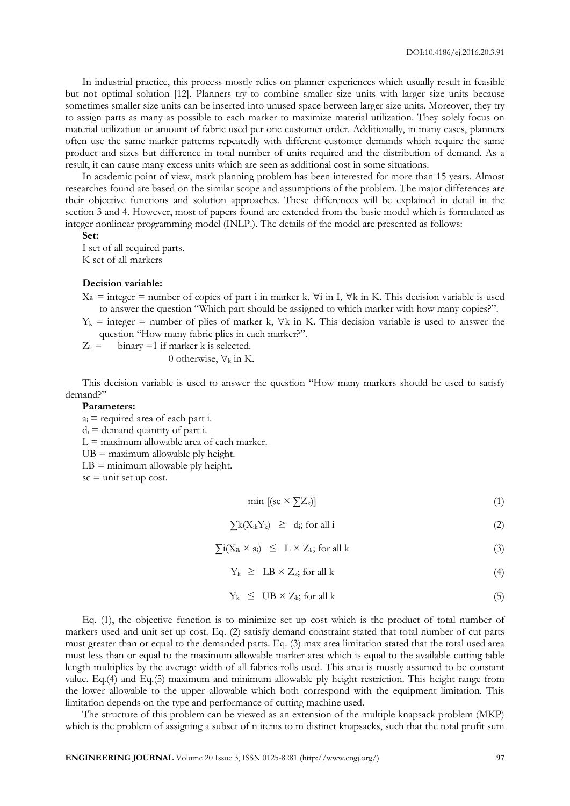In industrial practice, this process mostly relies on planner experiences which usually result in feasible but not optimal solution [12]. Planners try to combine smaller size units with larger size units because sometimes smaller size units can be inserted into unused space between larger size units. Moreover, they try to assign parts as many as possible to each marker to maximize material utilization. They solely focus on material utilization or amount of fabric used per one customer order. Additionally, in many cases, planners often use the same marker patterns repeatedly with different customer demands which require the same product and sizes but difference in total number of units required and the distribution of demand. As a result, it can cause many excess units which are seen as additional cost in some situations.

In academic point of view, mark planning problem has been interested for more than 15 years. Almost researches found are based on the similar scope and assumptions of the problem. The major differences are their objective functions and solution approaches. These differences will be explained in detail in the section 3 and 4. However, most of papers found are extended from the basic model which is formulated as integer nonlinear programming model (INLP.). The details of the model are presented as follows:

**Set:**

I set of all required parts. K set of all markers

#### **Decision variable:**

- $X_{ik}$  = integer = number of copies of part i in marker k,  $\forall i$  in I,  $\forall k$  in K. This decision variable is used to answer the question "Which part should be assigned to which marker with how many copies?".
- $Y_k$  = integer = number of plies of marker k,  $\nabla k$  in K. This decision variable is used to answer the question "How many fabric plies in each marker?".
- $Z_k =$  binary =1 if marker k is selected.

0 otherwise,  $\forall_k$  in K.

This decision variable is used to answer the question "How many markers should be used to satisfy demand?"

#### **Parameters:**

 $a_i$  = required area of each part i.

 $d_i$  = demand quantity of part i.

 $L =$  maximum allowable area of each marker.

 $UB =$  maximum allowable ply height.

 $LB =$  minimum allowable ply height.

 $sc =$  unit set up cost.

$$
\min\left[ \left( \mathrm{sc} \times \sum Z_k \right) \right] \tag{1}
$$

$$
\sum k(X_{ik}Y_{k}) \geq d_{i}
$$
 for all i (2)

$$
\sum i(X_{ik} \times a_i) \leq L \times Z_k; \text{ for all } k \tag{3}
$$

$$
Y_k \geq LB \times Z_k; \text{ for all } k \tag{4}
$$

$$
Y_k \leq \text{UB} \times Z_k \text{; for all } k \tag{5}
$$

Eq. (1), the objective function is to minimize set up cost which is the product of total number of markers used and unit set up cost. Eq. (2) satisfy demand constraint stated that total number of cut parts must greater than or equal to the demanded parts. Eq. (3) max area limitation stated that the total used area must less than or equal to the maximum allowable marker area which is equal to the available cutting table length multiplies by the average width of all fabrics rolls used. This area is mostly assumed to be constant value. Eq.(4) and Eq.(5) maximum and minimum allowable ply height restriction. This height range from the lower allowable to the upper allowable which both correspond with the equipment limitation. This limitation depends on the type and performance of cutting machine used.

The structure of this problem can be viewed as an extension of the multiple knapsack problem (MKP) which is the problem of assigning a subset of n items to m distinct knapsacks, such that the total profit sum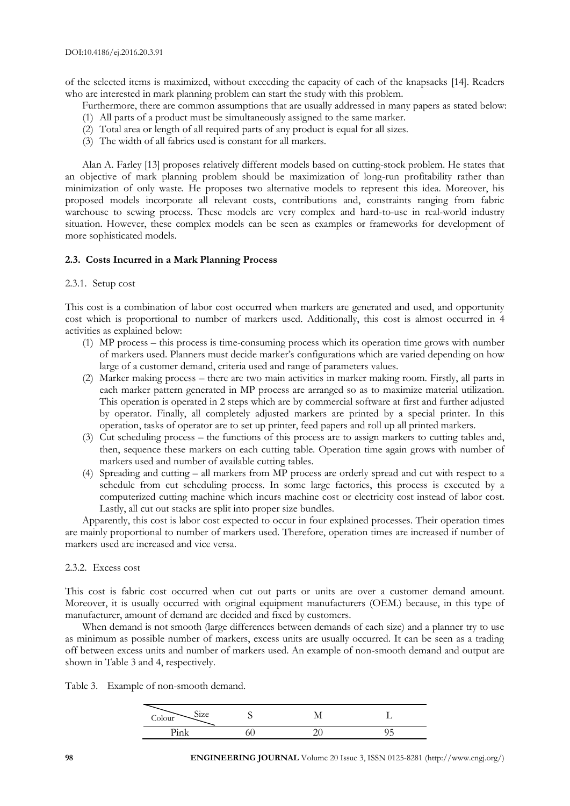of the selected items is maximized, without exceeding the capacity of each of the knapsacks [14]. Readers who are interested in mark planning problem can start the study with this problem.

Furthermore, there are common assumptions that are usually addressed in many papers as stated below:

- (1) All parts of a product must be simultaneously assigned to the same marker.
- (2) Total area or length of all required parts of any product is equal for all sizes.
- (3) The width of all fabrics used is constant for all markers.

Alan A. Farley [13] proposes relatively different models based on cutting-stock problem. He states that an objective of mark planning problem should be maximization of long-run profitability rather than minimization of only waste. He proposes two alternative models to represent this idea. Moreover, his proposed models incorporate all relevant costs, contributions and, constraints ranging from fabric warehouse to sewing process. These models are very complex and hard-to-use in real-world industry situation. However, these complex models can be seen as examples or frameworks for development of more sophisticated models.

#### **2.3. Costs Incurred in a Mark Planning Process**

#### 2.3.1. Setup cost

This cost is a combination of labor cost occurred when markers are generated and used, and opportunity cost which is proportional to number of markers used. Additionally, this cost is almost occurred in 4 activities as explained below:

- (1) MP process this process is time-consuming process which its operation time grows with number of markers used. Planners must decide marker's configurations which are varied depending on how large of a customer demand, criteria used and range of parameters values.
- (2) Marker making process there are two main activities in marker making room. Firstly, all parts in each marker pattern generated in MP process are arranged so as to maximize material utilization. This operation is operated in 2 steps which are by commercial software at first and further adjusted by operator. Finally, all completely adjusted markers are printed by a special printer. In this operation, tasks of operator are to set up printer, feed papers and roll up all printed markers.
- (3) Cut scheduling process the functions of this process are to assign markers to cutting tables and, then, sequence these markers on each cutting table. Operation time again grows with number of markers used and number of available cutting tables.
- (4) Spreading and cutting all markers from MP process are orderly spread and cut with respect to a schedule from cut scheduling process. In some large factories, this process is executed by a computerized cutting machine which incurs machine cost or electricity cost instead of labor cost. Lastly, all cut out stacks are split into proper size bundles.

Apparently, this cost is labor cost expected to occur in four explained processes. Their operation times are mainly proportional to number of markers used. Therefore, operation times are increased if number of markers used are increased and vice versa.

#### 2.3.2. Excess cost

This cost is fabric cost occurred when cut out parts or units are over a customer demand amount. Moreover, it is usually occurred with original equipment manufacturers (OEM.) because, in this type of manufacturer, amount of demand are decided and fixed by customers.

When demand is not smooth (large differences between demands of each size) and a planner try to use as minimum as possible number of markers, excess units are usually occurred. It can be seen as a trading off between excess units and number of markers used. An example of non-smooth demand and output are shown in Table 3 and 4, respectively.

Table 3. Example of non-smooth demand.

| Size<br>Colour |  |  |
|----------------|--|--|
| حددا<br>-----  |  |  |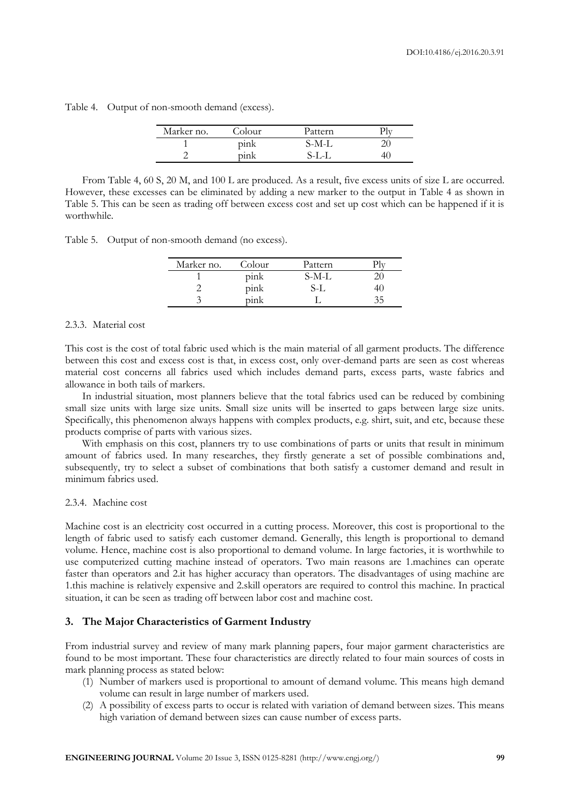|  | Table 4. Output of non-smooth demand (excess). |        |         |     |
|--|------------------------------------------------|--------|---------|-----|
|  | Marker no.                                     | Colour | Pattern | Plv |

From Table 4, 60 S, 20 M, and 100 L are produced. As a result, five excess units of size L are occurred. However, these excesses can be eliminated by adding a new marker to the output in Table 4 as shown in Table 5. This can be seen as trading off between excess cost and set up cost which can be happened if it is worthwhile.

1 pink S-M-L 20 2 pink S-L-L 40

Table 5. Output of non-smooth demand (no excess).

| Marker no. | Colour | Pattern |    |
|------------|--------|---------|----|
|            | pink   | S-M-L   |    |
|            | pink   | S-L     | łU |
|            | pink   |         |    |

#### 2.3.3. Material cost

This cost is the cost of total fabric used which is the main material of all garment products. The difference between this cost and excess cost is that, in excess cost, only over-demand parts are seen as cost whereas material cost concerns all fabrics used which includes demand parts, excess parts, waste fabrics and allowance in both tails of markers.

In industrial situation, most planners believe that the total fabrics used can be reduced by combining small size units with large size units. Small size units will be inserted to gaps between large size units. Specifically, this phenomenon always happens with complex products, e.g. shirt, suit, and etc, because these products comprise of parts with various sizes.

With emphasis on this cost, planners try to use combinations of parts or units that result in minimum amount of fabrics used. In many researches, they firstly generate a set of possible combinations and, subsequently, try to select a subset of combinations that both satisfy a customer demand and result in minimum fabrics used.

#### 2.3.4. Machine cost

Machine cost is an electricity cost occurred in a cutting process. Moreover, this cost is proportional to the length of fabric used to satisfy each customer demand. Generally, this length is proportional to demand volume. Hence, machine cost is also proportional to demand volume. In large factories, it is worthwhile to use computerized cutting machine instead of operators. Two main reasons are 1.machines can operate faster than operators and 2.it has higher accuracy than operators. The disadvantages of using machine are 1.this machine is relatively expensive and 2.skill operators are required to control this machine. In practical situation, it can be seen as trading off between labor cost and machine cost.

#### **3. The Major Characteristics of Garment Industry**

From industrial survey and review of many mark planning papers, four major garment characteristics are found to be most important. These four characteristics are directly related to four main sources of costs in mark planning process as stated below:

- (1) Number of markers used is proportional to amount of demand volume. This means high demand volume can result in large number of markers used.
- (2) A possibility of excess parts to occur is related with variation of demand between sizes. This means high variation of demand between sizes can cause number of excess parts.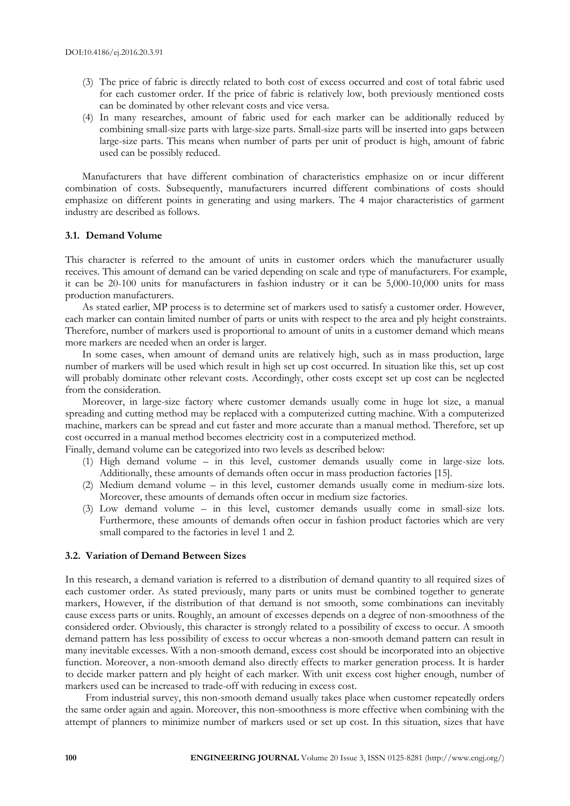- (3) The price of fabric is directly related to both cost of excess occurred and cost of total fabric used for each customer order. If the price of fabric is relatively low, both previously mentioned costs can be dominated by other relevant costs and vice versa.
- (4) In many researches, amount of fabric used for each marker can be additionally reduced by combining small-size parts with large-size parts. Small-size parts will be inserted into gaps between large-size parts. This means when number of parts per unit of product is high, amount of fabric used can be possibly reduced.

Manufacturers that have different combination of characteristics emphasize on or incur different combination of costs. Subsequently, manufacturers incurred different combinations of costs should emphasize on different points in generating and using markers. The 4 major characteristics of garment industry are described as follows.

#### **3.1. Demand Volume**

This character is referred to the amount of units in customer orders which the manufacturer usually receives. This amount of demand can be varied depending on scale and type of manufacturers. For example, it can be 20-100 units for manufacturers in fashion industry or it can be 5,000-10,000 units for mass production manufacturers.

As stated earlier, MP process is to determine set of markers used to satisfy a customer order. However, each marker can contain limited number of parts or units with respect to the area and ply height constraints. Therefore, number of markers used is proportional to amount of units in a customer demand which means more markers are needed when an order is larger.

In some cases, when amount of demand units are relatively high, such as in mass production, large number of markers will be used which result in high set up cost occurred. In situation like this, set up cost will probably dominate other relevant costs. Accordingly, other costs except set up cost can be neglected from the consideration.

Moreover, in large-size factory where customer demands usually come in huge lot size, a manual spreading and cutting method may be replaced with a computerized cutting machine. With a computerized machine, markers can be spread and cut faster and more accurate than a manual method. Therefore, set up cost occurred in a manual method becomes electricity cost in a computerized method.

Finally, demand volume can be categorized into two levels as described below:

- (1) High demand volume in this level, customer demands usually come in large-size lots. Additionally, these amounts of demands often occur in mass production factories [15].
- (2) Medium demand volume in this level, customer demands usually come in medium-size lots. Moreover, these amounts of demands often occur in medium size factories.
- (3) Low demand volume in this level, customer demands usually come in small-size lots. Furthermore, these amounts of demands often occur in fashion product factories which are very small compared to the factories in level 1 and 2.

#### **3.2. Variation of Demand Between Sizes**

In this research, a demand variation is referred to a distribution of demand quantity to all required sizes of each customer order. As stated previously, many parts or units must be combined together to generate markers, However, if the distribution of that demand is not smooth, some combinations can inevitably cause excess parts or units. Roughly, an amount of excesses depends on a degree of non-smoothness of the considered order. Obviously, this character is strongly related to a possibility of excess to occur. A smooth demand pattern has less possibility of excess to occur whereas a non-smooth demand pattern can result in many inevitable excesses. With a non-smooth demand, excess cost should be incorporated into an objective function. Moreover, a non-smooth demand also directly effects to marker generation process. It is harder to decide marker pattern and ply height of each marker. With unit excess cost higher enough, number of markers used can be increased to trade-off with reducing in excess cost.

From industrial survey, this non-smooth demand usually takes place when customer repeatedly orders the same order again and again. Moreover, this non-smoothness is more effective when combining with the attempt of planners to minimize number of markers used or set up cost. In this situation, sizes that have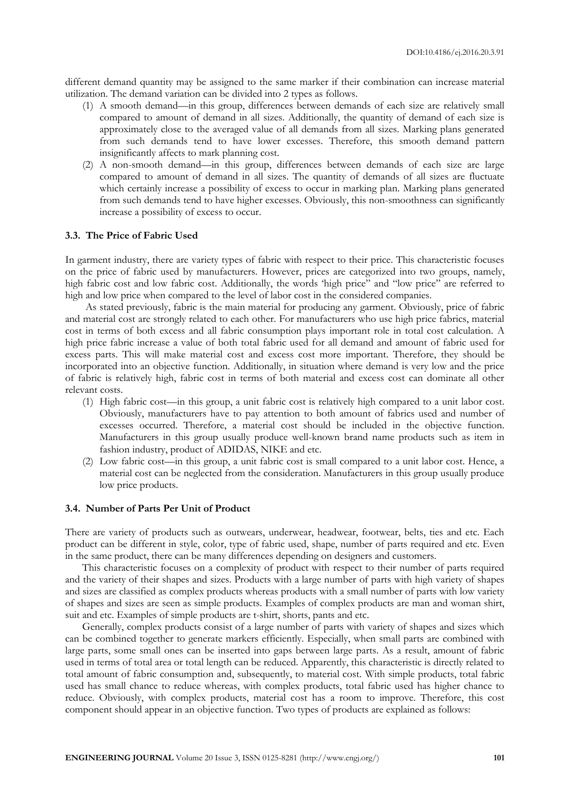different demand quantity may be assigned to the same marker if their combination can increase material utilization. The demand variation can be divided into 2 types as follows.

- (1) A smooth demand—in this group, differences between demands of each size are relatively small compared to amount of demand in all sizes. Additionally, the quantity of demand of each size is approximately close to the averaged value of all demands from all sizes. Marking plans generated from such demands tend to have lower excesses. Therefore, this smooth demand pattern insignificantly affects to mark planning cost.
- (2) A non-smooth demand—in this group, differences between demands of each size are large compared to amount of demand in all sizes. The quantity of demands of all sizes are fluctuate which certainly increase a possibility of excess to occur in marking plan. Marking plans generated from such demands tend to have higher excesses. Obviously, this non-smoothness can significantly increase a possibility of excess to occur.

#### **3.3. The Price of Fabric Used**

In garment industry, there are variety types of fabric with respect to their price. This characteristic focuses on the price of fabric used by manufacturers. However, prices are categorized into two groups, namely, high fabric cost and low fabric cost. Additionally, the words 'high price" and "low price" are referred to high and low price when compared to the level of labor cost in the considered companies.

As stated previously, fabric is the main material for producing any garment. Obviously, price of fabric and material cost are strongly related to each other. For manufacturers who use high price fabrics, material cost in terms of both excess and all fabric consumption plays important role in total cost calculation. A high price fabric increase a value of both total fabric used for all demand and amount of fabric used for excess parts. This will make material cost and excess cost more important. Therefore, they should be incorporated into an objective function. Additionally, in situation where demand is very low and the price of fabric is relatively high, fabric cost in terms of both material and excess cost can dominate all other relevant costs.

- (1) High fabric cost—in this group, a unit fabric cost is relatively high compared to a unit labor cost. Obviously, manufacturers have to pay attention to both amount of fabrics used and number of excesses occurred. Therefore, a material cost should be included in the objective function. Manufacturers in this group usually produce well-known brand name products such as item in fashion industry, product of ADIDAS, NIKE and etc.
- (2) Low fabric cost—in this group, a unit fabric cost is small compared to a unit labor cost. Hence, a material cost can be neglected from the consideration. Manufacturers in this group usually produce low price products.

## **3.4. Number of Parts Per Unit of Product**

There are variety of products such as outwears, underwear, headwear, footwear, belts, ties and etc. Each product can be different in style, color, type of fabric used, shape, number of parts required and etc. Even in the same product, there can be many differences depending on designers and customers.

This characteristic focuses on a complexity of product with respect to their number of parts required and the variety of their shapes and sizes. Products with a large number of parts with high variety of shapes and sizes are classified as complex products whereas products with a small number of parts with low variety of shapes and sizes are seen as simple products. Examples of complex products are man and woman shirt, suit and etc. Examples of simple products are t-shirt, shorts, pants and etc.

Generally, complex products consist of a large number of parts with variety of shapes and sizes which can be combined together to generate markers efficiently. Especially, when small parts are combined with large parts, some small ones can be inserted into gaps between large parts. As a result, amount of fabric used in terms of total area or total length can be reduced. Apparently, this characteristic is directly related to total amount of fabric consumption and, subsequently, to material cost. With simple products, total fabric used has small chance to reduce whereas, with complex products, total fabric used has higher chance to reduce. Obviously, with complex products, material cost has a room to improve. Therefore, this cost component should appear in an objective function. Two types of products are explained as follows: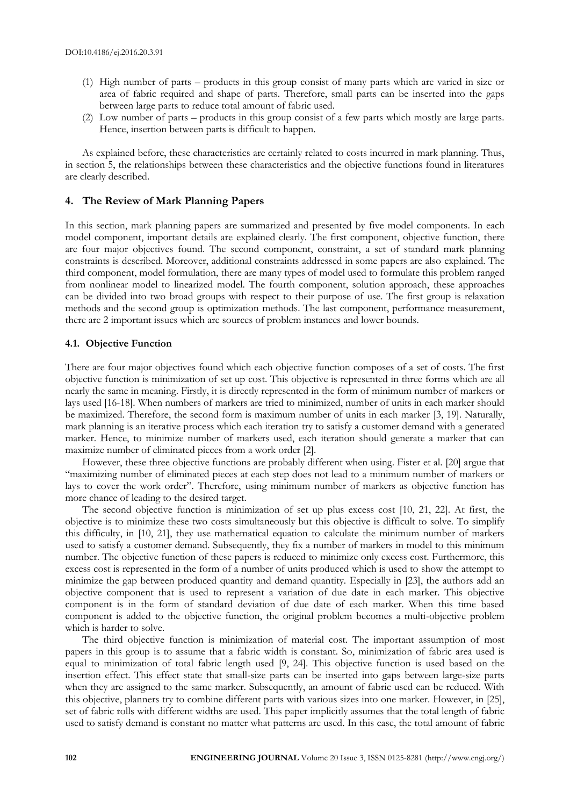- (1) High number of parts products in this group consist of many parts which are varied in size or area of fabric required and shape of parts. Therefore, small parts can be inserted into the gaps between large parts to reduce total amount of fabric used.
- (2) Low number of parts products in this group consist of a few parts which mostly are large parts. Hence, insertion between parts is difficult to happen.

As explained before, these characteristics are certainly related to costs incurred in mark planning. Thus, in section 5, the relationships between these characteristics and the objective functions found in literatures are clearly described.

#### **4. The Review of Mark Planning Papers**

In this section, mark planning papers are summarized and presented by five model components. In each model component, important details are explained clearly. The first component, objective function, there are four major objectives found. The second component, constraint, a set of standard mark planning constraints is described. Moreover, additional constraints addressed in some papers are also explained. The third component, model formulation, there are many types of model used to formulate this problem ranged from nonlinear model to linearized model. The fourth component, solution approach, these approaches can be divided into two broad groups with respect to their purpose of use. The first group is relaxation methods and the second group is optimization methods. The last component, performance measurement, there are 2 important issues which are sources of problem instances and lower bounds.

#### **4.1. Objective Function**

There are four major objectives found which each objective function composes of a set of costs. The first objective function is minimization of set up cost. This objective is represented in three forms which are all nearly the same in meaning. Firstly, it is directly represented in the form of minimum number of markers or lays used [16-18]. When numbers of markers are tried to minimized, number of units in each marker should be maximized. Therefore, the second form is maximum number of units in each marker [3, 19]. Naturally, mark planning is an iterative process which each iteration try to satisfy a customer demand with a generated marker. Hence, to minimize number of markers used, each iteration should generate a marker that can maximize number of eliminated pieces from a work order [2].

However, these three objective functions are probably different when using. Fister et al. [20] argue that "maximizing number of eliminated pieces at each step does not lead to a minimum number of markers or lays to cover the work order". Therefore, using minimum number of markers as objective function has more chance of leading to the desired target.

The second objective function is minimization of set up plus excess cost [10, 21, 22]. At first, the objective is to minimize these two costs simultaneously but this objective is difficult to solve. To simplify this difficulty, in [10, 21], they use mathematical equation to calculate the minimum number of markers used to satisfy a customer demand. Subsequently, they fix a number of markers in model to this minimum number. The objective function of these papers is reduced to minimize only excess cost. Furthermore, this excess cost is represented in the form of a number of units produced which is used to show the attempt to minimize the gap between produced quantity and demand quantity. Especially in [23], the authors add an objective component that is used to represent a variation of due date in each marker. This objective component is in the form of standard deviation of due date of each marker. When this time based component is added to the objective function, the original problem becomes a multi-objective problem which is harder to solve.

The third objective function is minimization of material cost. The important assumption of most papers in this group is to assume that a fabric width is constant. So, minimization of fabric area used is equal to minimization of total fabric length used [9, 24]. This objective function is used based on the insertion effect. This effect state that small-size parts can be inserted into gaps between large-size parts when they are assigned to the same marker. Subsequently, an amount of fabric used can be reduced. With this objective, planners try to combine different parts with various sizes into one marker. However, in [25], set of fabric rolls with different widths are used. This paper implicitly assumes that the total length of fabric used to satisfy demand is constant no matter what patterns are used. In this case, the total amount of fabric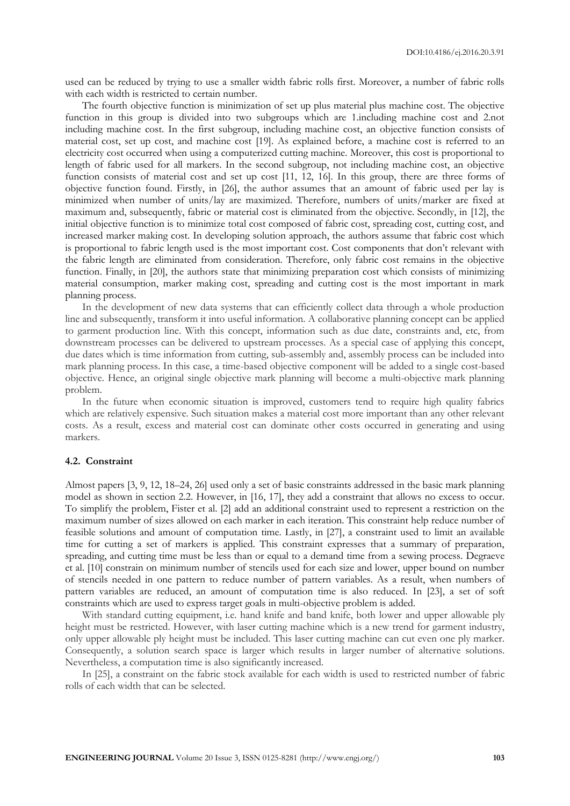used can be reduced by trying to use a smaller width fabric rolls first. Moreover, a number of fabric rolls with each width is restricted to certain number.

The fourth objective function is minimization of set up plus material plus machine cost. The objective function in this group is divided into two subgroups which are 1.including machine cost and 2.not including machine cost. In the first subgroup, including machine cost, an objective function consists of material cost, set up cost, and machine cost [19]. As explained before, a machine cost is referred to an electricity cost occurred when using a computerized cutting machine. Moreover, this cost is proportional to length of fabric used for all markers. In the second subgroup, not including machine cost, an objective function consists of material cost and set up cost [11, 12, 16]. In this group, there are three forms of objective function found. Firstly, in [26], the author assumes that an amount of fabric used per lay is minimized when number of units/lay are maximized. Therefore, numbers of units/marker are fixed at maximum and, subsequently, fabric or material cost is eliminated from the objective. Secondly, in [12], the initial objective function is to minimize total cost composed of fabric cost, spreading cost, cutting cost, and increased marker making cost. In developing solution approach, the authors assume that fabric cost which is proportional to fabric length used is the most important cost. Cost components that don't relevant with the fabric length are eliminated from consideration. Therefore, only fabric cost remains in the objective function. Finally, in [20], the authors state that minimizing preparation cost which consists of minimizing material consumption, marker making cost, spreading and cutting cost is the most important in mark planning process.

In the development of new data systems that can efficiently collect data through a whole production line and subsequently, transform it into useful information. A collaborative planning concept can be applied to garment production line. With this concept, information such as due date, constraints and, etc, from downstream processes can be delivered to upstream processes. As a special case of applying this concept, due dates which is time information from cutting, sub-assembly and, assembly process can be included into mark planning process. In this case, a time-based objective component will be added to a single cost-based objective. Hence, an original single objective mark planning will become a multi-objective mark planning problem.

In the future when economic situation is improved, customers tend to require high quality fabrics which are relatively expensive. Such situation makes a material cost more important than any other relevant costs. As a result, excess and material cost can dominate other costs occurred in generating and using markers.

#### **4.2. Constraint**

Almost papers [3, 9, 12, 18–24, 26] used only a set of basic constraints addressed in the basic mark planning model as shown in section 2.2. However, in [16, 17], they add a constraint that allows no excess to occur. To simplify the problem, Fister et al. [2] add an additional constraint used to represent a restriction on the maximum number of sizes allowed on each marker in each iteration. This constraint help reduce number of feasible solutions and amount of computation time. Lastly, in [27], a constraint used to limit an available time for cutting a set of markers is applied. This constraint expresses that a summary of preparation, spreading, and cutting time must be less than or equal to a demand time from a sewing process. Degraeve et al. [10] constrain on minimum number of stencils used for each size and lower, upper bound on number of stencils needed in one pattern to reduce number of pattern variables. As a result, when numbers of pattern variables are reduced, an amount of computation time is also reduced. In [23], a set of soft constraints which are used to express target goals in multi-objective problem is added.

With standard cutting equipment, i.e. hand knife and band knife, both lower and upper allowable ply height must be restricted. However, with laser cutting machine which is a new trend for garment industry, only upper allowable ply height must be included. This laser cutting machine can cut even one ply marker. Consequently, a solution search space is larger which results in larger number of alternative solutions. Nevertheless, a computation time is also significantly increased.

In [25], a constraint on the fabric stock available for each width is used to restricted number of fabric rolls of each width that can be selected.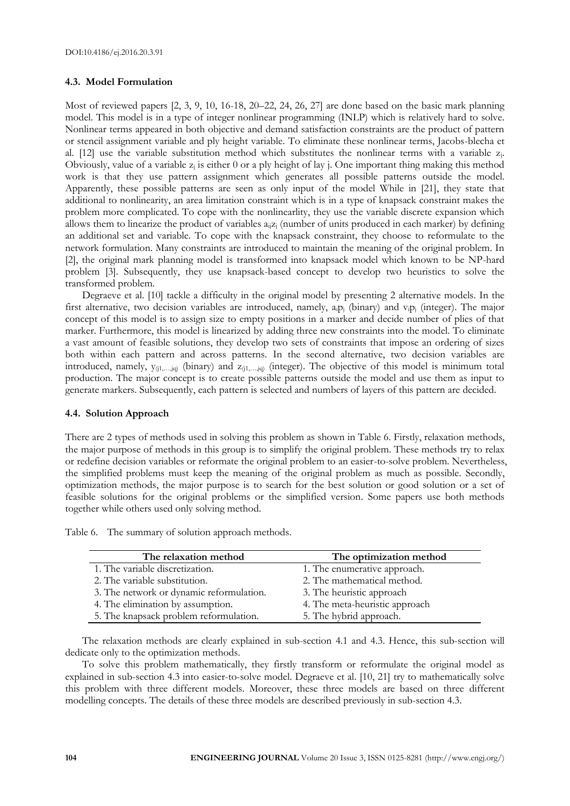## **4.3. Model Formulation**

Most of reviewed papers [2, 3, 9, 10, 16-18, 20–22, 24, 26, 27] are done based on the basic mark planning model. This model is in a type of integer nonlinear programming (INLP) which is relatively hard to solve. Nonlinear terms appeared in both objective and demand satisfaction constraints are the product of pattern or stencil assignment variable and ply height variable. To eliminate these nonlinear terms, Jacobs-blecha et al. [12] use the variable substitution method which substitutes the nonlinear terms with a variable  $z_i$ . Obviously, value of a variable  $z_i$  is either 0 or a ply height of lay j. One important thing making this method work is that they use pattern assignment which generates all possible patterns outside the model. Apparently, these possible patterns are seen as only input of the model While in [21], they state that additional to nonlinearity, an area limitation constraint which is in a type of knapsack constraint makes the problem more complicated. To cope with the nonlinearlity, they use the variable discrete expansion which allows them to linearize the product of variables  $a_{ii}z_i$  (number of units produced in each marker) by defining an additional set and variable. To cope with the knapsack constraint, they choose to reformulate to the network formulation. Many constraints are introduced to maintain the meaning of the original problem. In [2], the original mark planning model is transformed into knapsack model which known to be NP-hard problem [3]. Subsequently, they use knapsack-based concept to develop two heuristics to solve the transformed problem.

Degraeve et al. [10] tackle a difficulty in the original model by presenting 2 alternative models. In the first alternative, two decision variables are introduced, namely,  $a_i p_i$  (binary) and  $v_i p_i$  (integer). The major concept of this model is to assign size to empty positions in a marker and decide number of plies of that marker. Furthermore, this model is linearized by adding three new constraints into the model. To eliminate a vast amount of feasible solutions, they develop two sets of constraints that impose an ordering of sizes both within each pattern and across patterns. In the second alternative, two decision variables are introduced, namely,  $y_{(i_1,...,i_q)}$  (binary) and  $z_{(i_1,...,i_q)}$  (integer). The objective of this model is minimum total production. The major concept is to create possible patterns outside the model and use them as input to generate markers. Subsequently, each pattern is selected and numbers of layers of this pattern are decided.

# **4.4. Solution Approach**

There are 2 types of methods used in solving this problem as shown in Table 6. Firstly, relaxation methods, the major purpose of methods in this group is to simplify the original problem. These methods try to relax or redefine decision variables or reformate the original problem to an easier-to-solve problem. Nevertheless, the simplified problems must keep the meaning of the original problem as much as possible. Secondly, optimization methods, the major purpose is to search for the best solution or good solution or a set of feasible solutions for the original problems or the simplified version. Some papers use both methods together while others used only solving method.

Table 6. The summary of solution approach methods.

| The relaxation method                    | The optimization method        |
|------------------------------------------|--------------------------------|
| 1. The variable discretization.          | 1. The enumerative approach.   |
| 2. The variable substitution.            | 2. The mathematical method.    |
| 3. The network or dynamic reformulation. | 3. The heuristic approach      |
| 4. The elimination by assumption.        | 4. The meta-heuristic approach |
| 5. The knapsack problem reformulation.   | 5. The hybrid approach.        |

The relaxation methods are clearly explained in sub-section 4.1 and 4.3. Hence, this sub-section will dedicate only to the optimization methods.

To solve this problem mathematically, they firstly transform or reformulate the original model as explained in sub-section 4.3 into easier-to-solve model. Degraeve et al. [10, 21] try to mathematically solve this problem with three different models. Moreover, these three models are based on three different modelling concepts. The details of these three models are described previously in sub-section 4.3.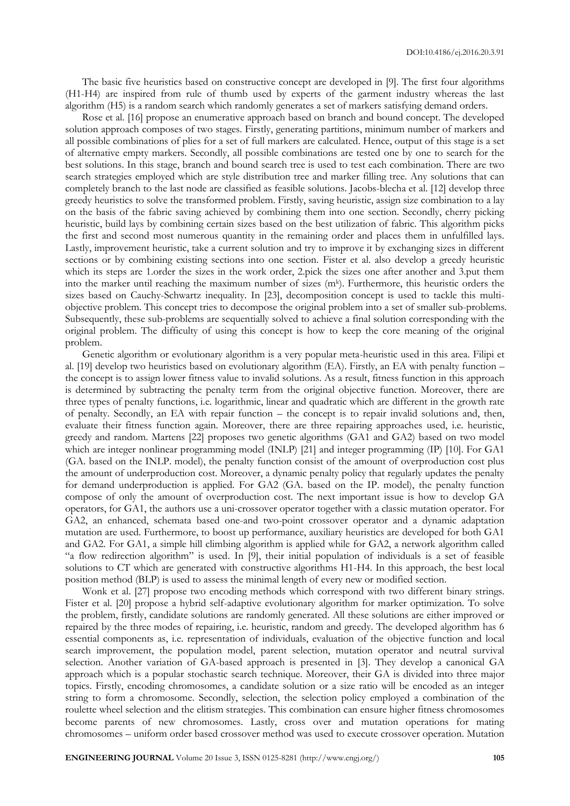The basic five heuristics based on constructive concept are developed in [9]. The first four algorithms (H1-H4) are inspired from rule of thumb used by experts of the garment industry whereas the last algorithm (H5) is a random search which randomly generates a set of markers satisfying demand orders.

Rose et al. [16] propose an enumerative approach based on branch and bound concept. The developed solution approach composes of two stages. Firstly, generating partitions, minimum number of markers and all possible combinations of plies for a set of full markers are calculated. Hence, output of this stage is a set of alternative empty markers. Secondly, all possible combinations are tested one by one to search for the best solutions. In this stage, branch and bound search tree is used to test each combination. There are two search strategies employed which are style distribution tree and marker filling tree. Any solutions that can completely branch to the last node are classified as feasible solutions. Jacobs-blecha et al. [12] develop three greedy heuristics to solve the transformed problem. Firstly, saving heuristic, assign size combination to a lay on the basis of the fabric saving achieved by combining them into one section. Secondly, cherry picking heuristic, build lays by combining certain sizes based on the best utilization of fabric. This algorithm picks the first and second most numerous quantity in the remaining order and places them in unfulfilled lays. Lastly, improvement heuristic, take a current solution and try to improve it by exchanging sizes in different sections or by combining existing sections into one section. Fister et al. also develop a greedy heuristic which its steps are 1.order the sizes in the work order, 2.pick the sizes one after another and 3.put them into the marker until reaching the maximum number of sizes (m<sup>k</sup>). Furthermore, this heuristic orders the sizes based on Cauchy-Schwartz inequality. In [23], decomposition concept is used to tackle this multiobjective problem. This concept tries to decompose the original problem into a set of smaller sub-problems. Subsequently, these sub-problems are sequentially solved to achieve a final solution corresponding with the original problem. The difficulty of using this concept is how to keep the core meaning of the original problem.

Genetic algorithm or evolutionary algorithm is a very popular meta-heuristic used in this area. Filipi et al. [19] develop two heuristics based on evolutionary algorithm (EA). Firstly, an EA with penalty function – the concept is to assign lower fitness value to invalid solutions. As a result, fitness function in this approach is determined by subtracting the penalty term from the original objective function. Moreover, there are three types of penalty functions, i.e. logarithmic, linear and quadratic which are different in the growth rate of penalty. Secondly, an EA with repair function – the concept is to repair invalid solutions and, then, evaluate their fitness function again. Moreover, there are three repairing approaches used, i.e. heuristic, greedy and random. Martens [22] proposes two genetic algorithms (GA1 and GA2) based on two model which are integer nonlinear programming model (INLP) [21] and integer programming (IP) [10]. For GA1 (GA. based on the INLP. model), the penalty function consist of the amount of overproduction cost plus the amount of underproduction cost. Moreover, a dynamic penalty policy that regularly updates the penalty for demand underproduction is applied. For GA2 (GA. based on the IP. model), the penalty function compose of only the amount of overproduction cost. The next important issue is how to develop GA operators, for GA1, the authors use a uni-crossover operator together with a classic mutation operator. For GA2, an enhanced, schemata based one-and two-point crossover operator and a dynamic adaptation mutation are used. Furthermore, to boost up performance, auxiliary heuristics are developed for both GA1 and GA2. For GA1, a simple hill climbing algorithm is applied while for GA2, a network algorithm called "a flow redirection algorithm" is used. In [9], their initial population of individuals is a set of feasible solutions to CT which are generated with constructive algorithms H1-H4. In this approach, the best local position method (BLP) is used to assess the minimal length of every new or modified section.

Wonk et al. [27] propose two encoding methods which correspond with two different binary strings. Fister et al. [20] propose a hybrid self-adaptive evolutionary algorithm for marker optimization. To solve the problem, firstly, candidate solutions are randomly generated. All these solutions are either improved or repaired by the three modes of repairing, i.e. heuristic, random and greedy. The developed algorithm has 6 essential components as, i.e. representation of individuals, evaluation of the objective function and local search improvement, the population model, parent selection, mutation operator and neutral survival selection. Another variation of GA-based approach is presented in [3]. They develop a canonical GA approach which is a popular stochastic search technique. Moreover, their GA is divided into three major topics. Firstly, encoding chromosomes, a candidate solution or a size ratio will be encoded as an integer string to form a chromosome. Secondly, selection, the selection policy employed a combination of the roulette wheel selection and the elitism strategies. This combination can ensure higher fitness chromosomes become parents of new chromosomes. Lastly, cross over and mutation operations for mating chromosomes – uniform order based crossover method was used to execute crossover operation. Mutation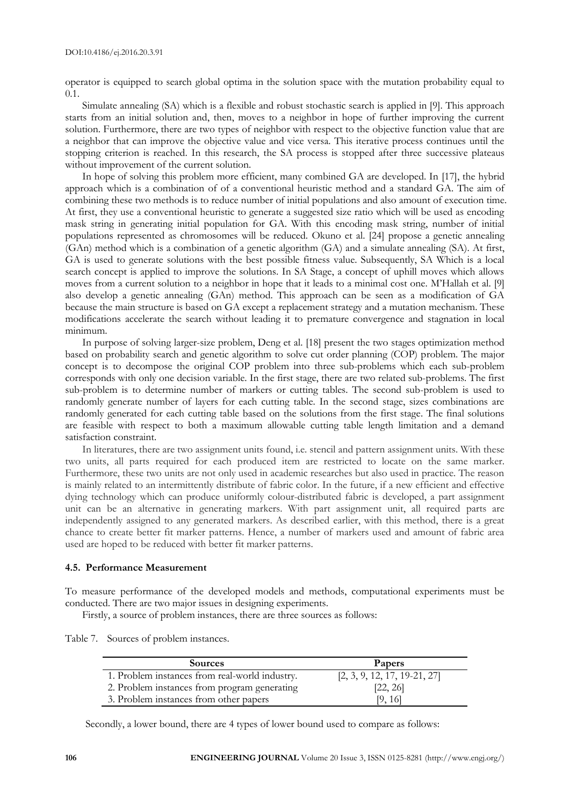operator is equipped to search global optima in the solution space with the mutation probability equal to 0.1.

Simulate annealing (SA) which is a flexible and robust stochastic search is applied in [9]. This approach starts from an initial solution and, then, moves to a neighbor in hope of further improving the current solution. Furthermore, there are two types of neighbor with respect to the objective function value that are a neighbor that can improve the objective value and vice versa. This iterative process continues until the stopping criterion is reached. In this research, the SA process is stopped after three successive plateaus without improvement of the current solution.

In hope of solving this problem more efficient, many combined GA are developed. In [17], the hybrid approach which is a combination of of a conventional heuristic method and a standard GA. The aim of combining these two methods is to reduce number of initial populations and also amount of execution time. At first, they use a conventional heuristic to generate a suggested size ratio which will be used as encoding mask string in generating initial population for GA. With this encoding mask string, number of initial populations represented as chromosomes will be reduced. Okuno et al. [24] propose a genetic annealing (GAn) method which is a combination of a genetic algorithm (GA) and a simulate annealing (SA). At first, GA is used to generate solutions with the best possible fitness value. Subsequently, SA Which is a local search concept is applied to improve the solutions. In SA Stage, a concept of uphill moves which allows moves from a current solution to a neighbor in hope that it leads to a minimal cost one. M'Hallah et al. [9] also develop a genetic annealing (GAn) method. This approach can be seen as a modification of GA because the main structure is based on GA except a replacement strategy and a mutation mechanism. These modifications accelerate the search without leading it to premature convergence and stagnation in local minimum.

In purpose of solving larger-size problem, Deng et al. [18] present the two stages optimization method based on probability search and genetic algorithm to solve cut order planning (COP) problem. The major concept is to decompose the original COP problem into three sub-problems which each sub-problem corresponds with only one decision variable. In the first stage, there are two related sub-problems. The first sub-problem is to determine number of markers or cutting tables. The second sub-problem is used to randomly generate number of layers for each cutting table. In the second stage, sizes combinations are randomly generated for each cutting table based on the solutions from the first stage. The final solutions are feasible with respect to both a maximum allowable cutting table length limitation and a demand satisfaction constraint.

In literatures, there are two assignment units found, i.e. stencil and pattern assignment units. With these two units, all parts required for each produced item are restricted to locate on the same marker. Furthermore, these two units are not only used in academic researches but also used in practice. The reason is mainly related to an intermittently distribute of fabric color. In the future, if a new efficient and effective dying technology which can produce uniformly colour-distributed fabric is developed, a part assignment unit can be an alternative in generating markers. With part assignment unit, all required parts are independently assigned to any generated markers. As described earlier, with this method, there is a great chance to create better fit marker patterns. Hence, a number of markers used and amount of fabric area used are hoped to be reduced with better fit marker patterns.

# **4.5. Performance Measurement**

To measure performance of the developed models and methods, computational experiments must be conducted. There are two major issues in designing experiments.

Firstly, a source of problem instances, there are three sources as follows:

Table 7. Sources of problem instances.

| <b>Sources</b>                                 | Papers                         |
|------------------------------------------------|--------------------------------|
| 1. Problem instances from real-world industry. | $[2, 3, 9, 12, 17, 19-21, 27]$ |
| 2. Problem instances from program generating   | [22, 26]                       |
| 3. Problem instances from other papers         | 19.161                         |

Secondly, a lower bound, there are 4 types of lower bound used to compare as follows: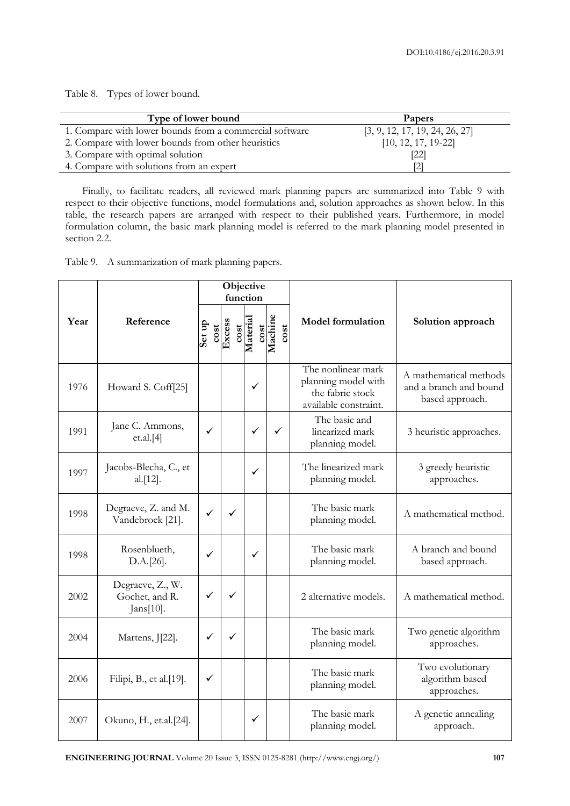Table 8. Types of lower bound.

| Type of lower bound                                     | Papers                         |
|---------------------------------------------------------|--------------------------------|
| 1. Compare with lower bounds from a commercial software | [3, 9, 12, 17, 19, 24, 26, 27] |
| 2. Compare with lower bounds from other heuristics      | $[10, 12, 17, 19-22]$          |
| 3. Compare with optimal solution                        | [22]                           |
| 4. Compare with solutions from an expert                | [2]                            |

Finally, to facilitate readers, all reviewed mark planning papers are summarized into Table 9 with respect to their objective functions, model formulations and, solution approaches as shown below. In this table, the research papers are arranged with respect to their published years. Furthermore, in model formulation column, the basic mark planning model is referred to the mark planning model presented in section 2.2.

Table 9. A summarization of mark planning papers.

|      |                                                 | Objective<br>function |              |                          |                 |                                                                                        |                                                                     |  |
|------|-------------------------------------------------|-----------------------|--------------|--------------------------|-----------------|----------------------------------------------------------------------------------------|---------------------------------------------------------------------|--|
| Year | Reference                                       | Set up<br>cos t       | Excess       | cost<br>Material<br>cost | Machine<br>cost | <b>Model formulation</b>                                                               | Solution approach                                                   |  |
| 1976 | Howard S. Coff[25]                              |                       |              | $\checkmark$             |                 | The nonlinear mark<br>planning model with<br>the fabric stock<br>available constraint. | A mathematical methods<br>and a branch and bound<br>based approach. |  |
| 1991 | Jane C. Ammons,<br>et.al.[4]                    | $\checkmark$          |              | $\checkmark$             | ✓               | The basic and<br>linearized mark<br>planning model.                                    | 3 heuristic approaches.                                             |  |
| 1997 | Jacobs-Blecha, C., et<br>al.[12].               |                       |              | $\checkmark$             |                 | The linearized mark<br>planning model.                                                 | 3 greedy heuristic<br>approaches.                                   |  |
| 1998 | Degraeve, Z. and M.<br>Vandebroek [21].         | $\checkmark$          | $\checkmark$ |                          |                 | The basic mark<br>planning model.                                                      | A mathematical method.                                              |  |
| 1998 | Rosenblueth,<br>D.A.[26].                       | $\checkmark$          |              | $\checkmark$             |                 | The basic mark<br>planning model.                                                      | A branch and bound<br>based approach.                               |  |
| 2002 | Degraeve, Z., W.<br>Gochet, and R.<br>Jans[10]. | $\checkmark$          | ✓            |                          |                 | 2 alternative models.                                                                  | A mathematical method.                                              |  |
| 2004 | Martens, J[22].                                 | ✓                     | $\checkmark$ |                          |                 | The basic mark<br>planning model.                                                      | Two genetic algorithm<br>approaches.                                |  |
| 2006 | Filipi, B., et al.[19].                         | ✓                     |              |                          |                 | The basic mark<br>planning model.                                                      | Two evolutionary<br>algorithm based<br>approaches.                  |  |
| 2007 | Okuno, H., et.al.[24].                          |                       |              | ✓                        |                 | The basic mark<br>planning model.                                                      | A genetic annealing<br>approach.                                    |  |

**ENGINEERING JOURNAL** Volume 20 Issue 3, ISSN 0125-8281 (http://www.engj.org/) **107**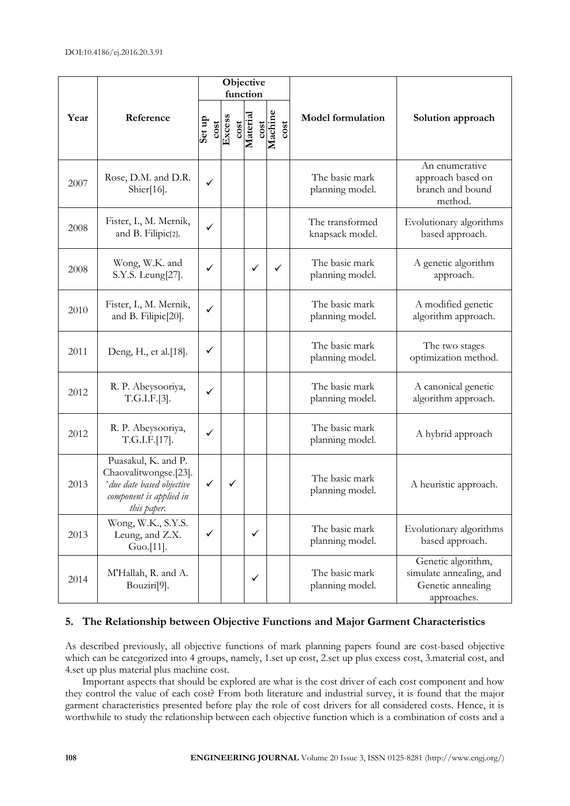|      |                                                                                                                      |                |              | Objective<br>function |      |                 |                                    |                                                                                   |  |
|------|----------------------------------------------------------------------------------------------------------------------|----------------|--------------|-----------------------|------|-----------------|------------------------------------|-----------------------------------------------------------------------------------|--|
| Year | Reference                                                                                                            | Set up<br>cost | Excess       | cost<br>Material      | cost | Machine<br>cost | <b>Model formulation</b>           | Solution approach                                                                 |  |
| 2007 | Rose, D.M. and D.R.<br>Shier $[16]$ .                                                                                | $\checkmark$   |              |                       |      |                 | The basic mark<br>planning model.  | An enumerative<br>approach based on<br>branch and bound<br>method.                |  |
| 2008 | Fister, I., M. Mernik,<br>and B. Filipic[2].                                                                         | $\checkmark$   |              |                       |      |                 | The transformed<br>knapsack model. | Evolutionary algorithms<br>based approach.                                        |  |
| 2008 | Wong, W.K. and<br>S.Y.S. Leung[27].                                                                                  | $\checkmark$   |              | $\checkmark$          |      | ✓               | The basic mark<br>planning model.  | A genetic algorithm<br>approach.                                                  |  |
| 2010 | Fister, I., M. Mernik,<br>and B. Filipic[20].                                                                        | ✓              |              |                       |      |                 | The basic mark<br>planning model.  | A modified genetic<br>algorithm approach.                                         |  |
| 2011 | Deng, H., et al.[18].                                                                                                | $\checkmark$   |              |                       |      |                 | The basic mark<br>planning model.  | The two stages<br>optimization method.                                            |  |
| 2012 | R. P. Abeysooriya,<br>T.G.I.F.[3].                                                                                   | $\checkmark$   |              |                       |      |                 | The basic mark<br>planning model.  | A canonical genetic<br>algorithm approach.                                        |  |
| 2012 | R. P. Abeysooriya,<br>T.G.I.F.[17].                                                                                  | $\checkmark$   |              |                       |      |                 | The basic mark<br>planning model.  | A hybrid approach                                                                 |  |
| 2013 | Puasakul, K. and P.<br>Chaovalitwongse.[23].<br>* due date based objective<br>component is applied in<br>this paper. | ✓              | $\checkmark$ |                       |      |                 | The basic mark<br>planning model.  | A heuristic approach.                                                             |  |
| 2013 | Wong, W.K., S.Y.S.<br>Leung, and Z.X.<br>Guo.[11].                                                                   | ✓              |              | ✓                     |      |                 | The basic mark<br>planning model.  | Evolutionary algorithms<br>based approach.                                        |  |
| 2014 | M'Hallah, R. and A.<br>Bouziri <sup>[9]</sup> .                                                                      |                |              | $\checkmark$          |      |                 | The basic mark<br>planning model.  | Genetic algorithm,<br>simulate annealing, and<br>Genetic annealing<br>approaches. |  |

# **5. The Relationship between Objective Functions and Major Garment Characteristics**

As described previously, all objective functions of mark planning papers found are cost-based objective which can be categorized into 4 groups, namely, 1 set up cost, 2 set up plus excess cost, 3 material cost, and 4.set up plus material plus machine cost.

Important aspects that should be explored are what is the cost driver of each cost component and how they control the value of each cost? From both literature and industrial survey, it is found that the major garment characteristics presented before play the role of cost drivers for all considered costs. Hence, it is worthwhile to study the relationship between each objective function which is a combination of costs and a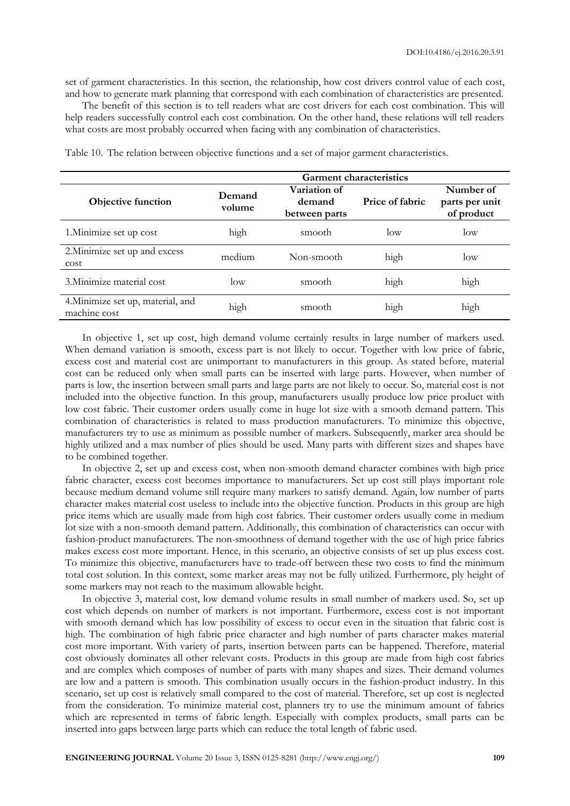set of garment characteristics. In this section, the relationship, how cost drivers control value of each cost, and how to generate mark planning that correspond with each combination of characteristics are presented.

The benefit of this section is to tell readers what are cost drivers for each cost combination. This will help readers successfully control each cost combination. On the other hand, these relations will tell readers what costs are most probably occurred when facing with any combination of characteristics.

|                                                   | <b>Garment characteristics</b> |                                         |                 |                                           |  |  |  |  |
|---------------------------------------------------|--------------------------------|-----------------------------------------|-----------------|-------------------------------------------|--|--|--|--|
| Objective function                                | Demand<br>volume               | Variation of<br>demand<br>between parts | Price of fabric | Number of<br>parts per unit<br>of product |  |  |  |  |
| 1. Minimize set up cost                           | high                           | smooth                                  | $\log$          | low                                       |  |  |  |  |
| 2. Minimize set up and excess<br>cost             | medium                         | Non-smooth                              | high            | low                                       |  |  |  |  |
| 3. Minimize material cost                         | $\log$                         | smooth                                  | high            | high                                      |  |  |  |  |
| 4. Minimize set up, material, and<br>machine cost | high                           | smooth                                  | high            | high                                      |  |  |  |  |

Table 10. The relation between objective functions and a set of major garment characteristics.

In objective 1, set up cost, high demand volume certainly results in large number of markers used. When demand variation is smooth, excess part is not likely to occur. Together with low price of fabric, excess cost and material cost are unimportant to manufacturers in this group. As stated before, material cost can be reduced only when small parts can be inserted with large parts. However, when number of parts is low, the insertion between small parts and large parts are not likely to occur. So, material cost is not included into the objective function. In this group, manufacturers usually produce low price product with low cost fabric. Their customer orders usually come in huge lot size with a smooth demand pattern. This combination of characteristics is related to mass production manufacturers. To minimize this objective, manufacturers try to use as minimum as possible number of markers. Subsequently, marker area should be highly utilized and a max number of plies should be used. Many parts with different sizes and shapes have to be combined together.

In objective 2, set up and excess cost, when non-smooth demand character combines with high price fabric character, excess cost becomes importance to manufacturers. Set up cost still plays important role because medium demand volume still require many markers to satisfy demand. Again, low number of parts character makes material cost useless to include into the objective function. Products in this group are high price items which are usually made from high cost fabrics. Their customer orders usually come in medium lot size with a non-smooth demand pattern. Additionally, this combination of characteristics can occur with fashion-product manufacturers. The non-smoothness of demand together with the use of high price fabrics makes excess cost more important. Hence, in this scenario, an objective consists of set up plus excess cost. To minimize this objective, manufacturers have to trade-off between these two costs to find the minimum total cost solution. In this context, some marker areas may not be fully utilized. Furthermore, ply height of some markers may not reach to the maximum allowable height.

In objective 3, material cost, low demand volume results in small number of markers used. So, set up cost which depends on number of markers is not important. Furthermore, excess cost is not important with smooth demand which has low possibility of excess to occur even in the situation that fabric cost is high. The combination of high fabric price character and high number of parts character makes material cost more important. With variety of parts, insertion between parts can be happened. Therefore, material cost obviously dominates all other relevant costs. Products in this group are made from high cost fabrics and are complex which composes of number of parts with many shapes and sizes. Their demand volumes are low and a pattern is smooth. This combination usually occurs in the fashion-product industry. In this scenario, set up cost is relatively small compared to the cost of material. Therefore, set up cost is neglected from the consideration. To minimize material cost, planners try to use the minimum amount of fabrics which are represented in terms of fabric length. Especially with complex products, small parts can be inserted into gaps between large parts which can reduce the total length of fabric used.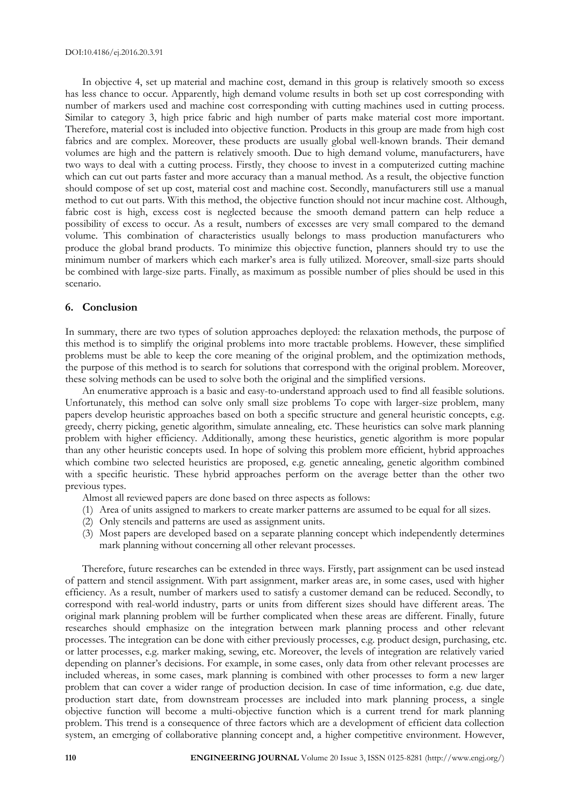In objective 4, set up material and machine cost, demand in this group is relatively smooth so excess has less chance to occur. Apparently, high demand volume results in both set up cost corresponding with number of markers used and machine cost corresponding with cutting machines used in cutting process. Similar to category 3, high price fabric and high number of parts make material cost more important. Therefore, material cost is included into objective function. Products in this group are made from high cost fabrics and are complex. Moreover, these products are usually global well-known brands. Their demand volumes are high and the pattern is relatively smooth. Due to high demand volume, manufacturers, have two ways to deal with a cutting process. Firstly, they choose to invest in a computerized cutting machine which can cut out parts faster and more accuracy than a manual method. As a result, the objective function should compose of set up cost, material cost and machine cost. Secondly, manufacturers still use a manual method to cut out parts. With this method, the objective function should not incur machine cost. Although, fabric cost is high, excess cost is neglected because the smooth demand pattern can help reduce a possibility of excess to occur. As a result, numbers of excesses are very small compared to the demand volume. This combination of characteristics usually belongs to mass production manufacturers who produce the global brand products. To minimize this objective function, planners should try to use the minimum number of markers which each marker's area is fully utilized. Moreover, small-size parts should be combined with large-size parts. Finally, as maximum as possible number of plies should be used in this scenario.

#### **6. Conclusion**

In summary, there are two types of solution approaches deployed: the relaxation methods, the purpose of this method is to simplify the original problems into more tractable problems. However, these simplified problems must be able to keep the core meaning of the original problem, and the optimization methods, the purpose of this method is to search for solutions that correspond with the original problem. Moreover, these solving methods can be used to solve both the original and the simplified versions.

An enumerative approach is a basic and easy-to-understand approach used to find all feasible solutions. Unfortunately, this method can solve only small size problems To cope with larger-size problem, many papers develop heuristic approaches based on both a specific structure and general heuristic concepts, e.g. greedy, cherry picking, genetic algorithm, simulate annealing, etc. These heuristics can solve mark planning problem with higher efficiency. Additionally, among these heuristics, genetic algorithm is more popular than any other heuristic concepts used. In hope of solving this problem more efficient, hybrid approaches which combine two selected heuristics are proposed, e.g. genetic annealing, genetic algorithm combined with a specific heuristic. These hybrid approaches perform on the average better than the other two previous types.

Almost all reviewed papers are done based on three aspects as follows:

- (1) Area of units assigned to markers to create marker patterns are assumed to be equal for all sizes.
- (2) Only stencils and patterns are used as assignment units.
- (3) Most papers are developed based on a separate planning concept which independently determines mark planning without concerning all other relevant processes.

Therefore, future researches can be extended in three ways. Firstly, part assignment can be used instead of pattern and stencil assignment. With part assignment, marker areas are, in some cases, used with higher efficiency. As a result, number of markers used to satisfy a customer demand can be reduced. Secondly, to correspond with real-world industry, parts or units from different sizes should have different areas. The original mark planning problem will be further complicated when these areas are different. Finally, future researches should emphasize on the integration between mark planning process and other relevant processes. The integration can be done with either previously processes, e.g. product design, purchasing, etc. or latter processes, e.g. marker making, sewing, etc. Moreover, the levels of integration are relatively varied depending on planner's decisions. For example, in some cases, only data from other relevant processes are included whereas, in some cases, mark planning is combined with other processes to form a new larger problem that can cover a wider range of production decision. In case of time information, e.g. due date, production start date, from downstream processes are included into mark planning process, a single objective function will become a multi-objective function which is a current trend for mark planning problem. This trend is a consequence of three factors which are a development of efficient data collection system, an emerging of collaborative planning concept and, a higher competitive environment. However,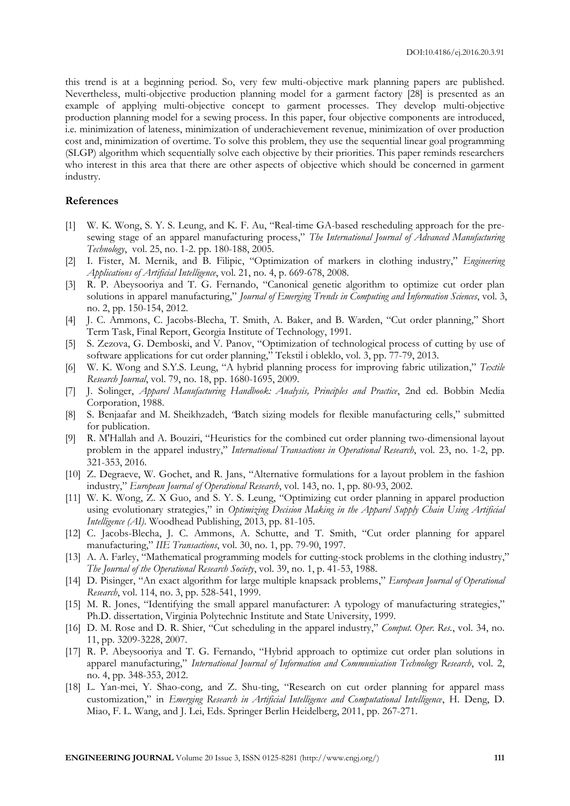this trend is at a beginning period. So, very few multi-objective mark planning papers are published. Nevertheless, multi-objective production planning model for a garment factory [28] is presented as an example of applying multi-objective concept to garment processes. They develop multi-objective production planning model for a sewing process. In this paper, four objective components are introduced, i.e. minimization of lateness, minimization of underachievement revenue, minimization of over production cost and, minimization of overtime. To solve this problem, they use the sequential linear goal programming (SLGP) algorithm which sequentially solve each objective by their priorities. This paper reminds researchers who interest in this area that there are other aspects of objective which should be concerned in garment industry.

#### **References**

- [1] W. K. Wong, S. Y. S. Leung, and K. F. Au, "Real-time GA-based rescheduling approach for the presewing stage of an apparel manufacturing process," *The International Journal of Advanced Manufacturing Technology*, vol. 25, no. 1-2. pp. 180-188, 2005.
- [2] I. Fister, M. Mernik, and B. Filipic, "Optimization of markers in clothing industry," *Engineering Applications of Artificial Intelligence*, vol. 21, no. 4, p. 669-678, 2008.
- [3] R. P. Abeysooriya and T. G. Fernando, "Canonical genetic algorithm to optimize cut order plan solutions in apparel manufacturing," *Journal of Emerging Trends in Computing and Information Sciences*, vol. 3, no. 2, pp. 150-154, 2012.
- [4] J. C. Ammons, C. Jacobs-Blecha, T. Smith, A. Baker, and B. Warden, "Cut order planning," Short Term Task, Final Report, Georgia Institute of Technology, 1991.
- [5] S. Zezova, G. Demboski, and V. Panov, "Optimization of technological process of cutting by use of software applications for cut order planning," Tekstil i obleklo, vol. 3, pp. 77-79, 2013.
- [6] W. K. Wong and S.Y.S. Leung, "A hybrid planning process for improving fabric utilization," *Textile Research Journal*, vol. 79, no. 18, pp. 1680-1695, 2009.
- [7] J. Solinger, *Apparel Manufacturing Handbook: Analysis, Principles and Practice*, 2nd ed. Bobbin Media Corporation, 1988.
- [8] S. Benjaafar and M. Sheikhzadeh, *"*Batch sizing models for flexible manufacturing cells," submitted for publication.
- [9] R. M'Hallah and A. Bouziri, "Heuristics for the combined cut order planning two-dimensional layout problem in the apparel industry," *International Transactions in Operational Research*, vol. 23, no. 1-2, pp. 321-353, 2016.
- [10] Z. Degraeve, W. Gochet, and R. Jans, "Alternative formulations for a layout problem in the fashion industry," *European Journal of Operational Research*, vol. 143, no. 1, pp. 80-93, 2002.
- [11] W. K. Wong, Z. X Guo, and S. Y. S. Leung, "Optimizing cut order planning in apparel production using evolutionary strategies," in *Optimizing Decision Making in the Apparel Supply Chain Using Artificial Intelligence (AI)*. Woodhead Publishing, 2013, pp. 81-105.
- [12] C. Jacobs-Blecha, J. C. Ammons, A. Schutte, and T. Smith, "Cut order planning for apparel manufacturing," *IIE Transactions*, vol. 30, no. 1, pp. 79-90, 1997.
- [13] A. A. Farley, "Mathematical programming models for cutting-stock problems in the clothing industry," *The Journal of the Operational Research Society*, vol. 39, no. 1, p. 41-53, 1988.
- [14] D. Pisinger, "An exact algorithm for large multiple knapsack problems," *European Journal of Operational Research*, vol. 114, no. 3, pp. 528-541, 1999.
- [15] M. R. Jones, "Identifying the small apparel manufacturer: A typology of manufacturing strategies," Ph.D. dissertation, Virginia Polytechnic Institute and State University, 1999.
- [16] D. M. Rose and D. R. Shier, "Cut scheduling in the apparel industry," *Comput. Oper. Res.*, vol. 34, no. 11, pp. 3209-3228, 2007.
- [17] R. P. Abeysooriya and T. G. Fernando, "Hybrid approach to optimize cut order plan solutions in apparel manufacturing," *International Journal of Information and Communication Technology Research*, vol. 2, no. 4, pp. 348-353, 2012.
- [18] L. Yan-mei, Y. Shao-cong, and Z. Shu-ting, "Research on cut order planning for apparel mass customization," in *Emerging Research in Artificial Intelligence and Computational Intelligence*, H. Deng, D. Miao, F. L. Wang, and J. Lei, Eds. Springer Berlin Heidelberg, 2011, pp. 267-271.